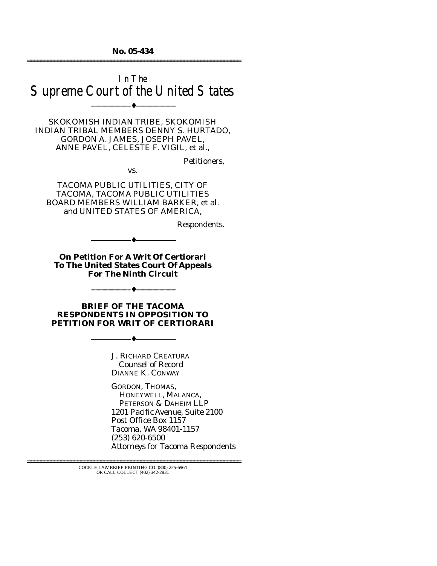**No. 05-434**  ================================================================

# In The Supreme Court of the United States

--------------------------------- ♦ ---------------------------------

SKOKOMISH INDIAN TRIBE, SKOKOMISH INDIAN TRIBAL MEMBERS DENNY S. HURTADO, GORDON A. JAMES, JOSEPH PAVEL, ANNE PAVEL, CELESTE F. VIGIL, et al.,

*Petitioners,* 

vs.

TACOMA PUBLIC UTILITIES, CITY OF TACOMA, TACOMA PUBLIC UTILITIES BOARD MEMBERS WILLIAM BARKER, et al. and UNITED STATES OF AMERICA,

*Respondents.* 

**On Petition For A Writ Of Certiorari To The United States Court Of Appeals For The Ninth Circuit** 

--------------------------------- ♦ ---------------------------------

**BRIEF OF THE TACOMA RESPONDENTS IN OPPOSITION TO PETITION FOR WRIT OF CERTIORARI** 

--------------------------------- ♦ ---------------------------------

--------------------------------- ♦ ---------------------------------

J. RICHARD CREATURA *Counsel of Record* DIANNE K. CONWAY

GORDON, THOMAS, HONEYWELL, MALANCA, PETERSON & DAHEIM LLP 1201 Pacific Avenue, Suite 2100 Post Office Box 1157 Tacoma, WA 98401-1157 (253) 620-6500 *Attorneys for Tacoma Respondents* 

================================================================ COCKLE LAW BRIEF PRINTING CO. (800) 225-6964 OR CALL COLLECT (402) 342-2831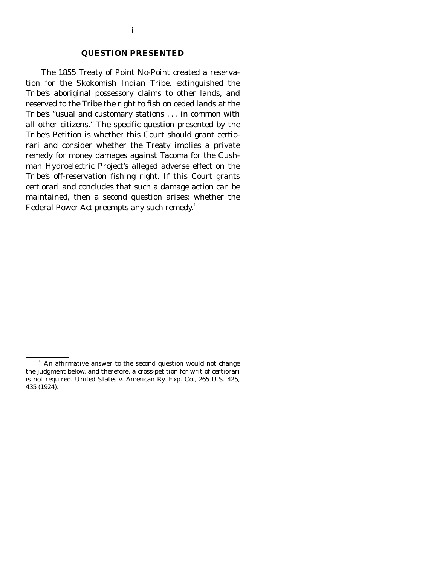#### **QUESTION PRESENTED**

 The 1855 Treaty of Point No-Point created a reservation for the Skokomish Indian Tribe, extinguished the Tribe's aboriginal possessory claims to other lands, and reserved to the Tribe the right to fish on ceded lands at the Tribe's "usual and customary stations . . . in common with all other citizens." The specific question presented by the Tribe's Petition is whether this Court should grant *certiorari* and consider whether the Treaty implies a private remedy for money damages against Tacoma for the Cushman Hydroelectric Project's alleged adverse effect on the Tribe's off-reservation fishing right. If this Court grants *certiorari* and concludes that such a damage action can be maintained, then a second question arises: whether the Federal Power Act preempts any such remedy.<sup>1</sup>

<sup>&</sup>lt;sup>1</sup> An affirmative answer to the second question would not change the judgment below, and therefore, a cross-petition for writ of certiorari is not required. *United States v. American Ry. Exp. Co.,* 265 U.S. 425, 435 (1924).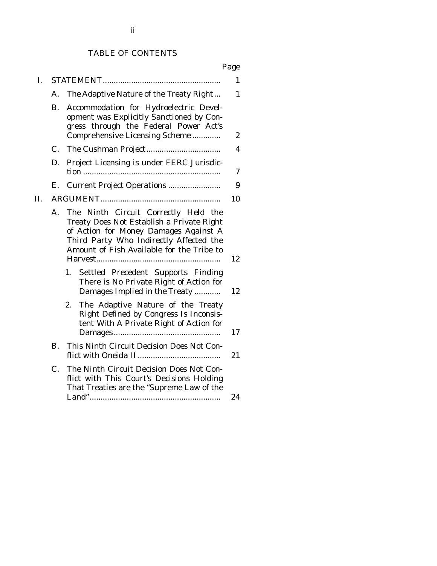## TABLE OF CONTENTS

|--|

| I.  |             |                                                                                                                                                                                                                    | $\mathbf{1}$ |
|-----|-------------|--------------------------------------------------------------------------------------------------------------------------------------------------------------------------------------------------------------------|--------------|
|     | А.          | The Adaptive Nature of the Treaty Right                                                                                                                                                                            | 1            |
|     | В.          | Accommodation for Hydroelectric Devel-<br>opment was Explicitly Sanctioned by Con-<br>gress through the Federal Power Act's<br>Comprehensive Licensing Scheme                                                      | 2            |
|     | $C_{\cdot}$ |                                                                                                                                                                                                                    | 4            |
|     | D.          | Project Licensing is under FERC Jurisdic-                                                                                                                                                                          | 7            |
|     | Е.          | <b>Current Project Operations </b>                                                                                                                                                                                 | 9            |
| II. |             |                                                                                                                                                                                                                    | 10           |
|     | A.          | The Ninth Circuit Correctly Held the<br>Treaty Does Not Establish a Private Right<br>of Action for Money Damages Against A<br>Third Party Who Indirectly Affected the<br>Amount of Fish Available for the Tribe to | 12           |
|     |             | Settled Precedent Supports Finding<br>1.<br>There is No Private Right of Action for<br>Damages Implied in the Treaty                                                                                               | 12           |
|     |             | The Adaptive Nature of the Treaty<br>2.<br>Right Defined by Congress Is Inconsis-<br>tent With A Private Right of Action for                                                                                       | 17           |
|     | В.          | This Ninth Circuit Decision Does Not Con-                                                                                                                                                                          | 21           |
|     | $C_{\cdot}$ | The Ninth Circuit Decision Does Not Con-<br>flict with This Court's Decisions Holding<br>That Treaties are the "Supreme Law of the                                                                                 | 24           |
|     |             |                                                                                                                                                                                                                    |              |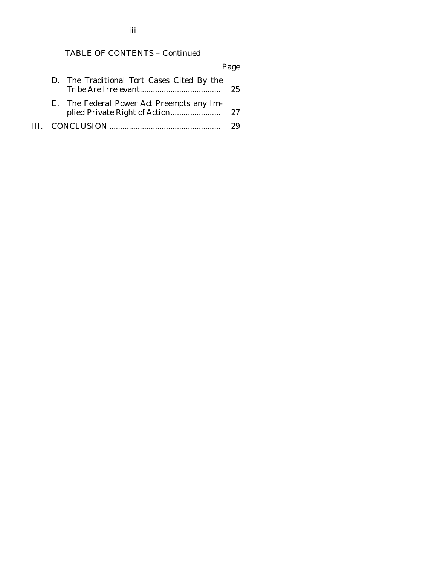TABLE OF CONTENTS – Continued

|  |                                            | Page |
|--|--------------------------------------------|------|
|  | D. The Traditional Tort Cases Cited By the | 25   |
|  | E. The Federal Power Act Preempts any Im-  |      |
|  |                                            |      |

iii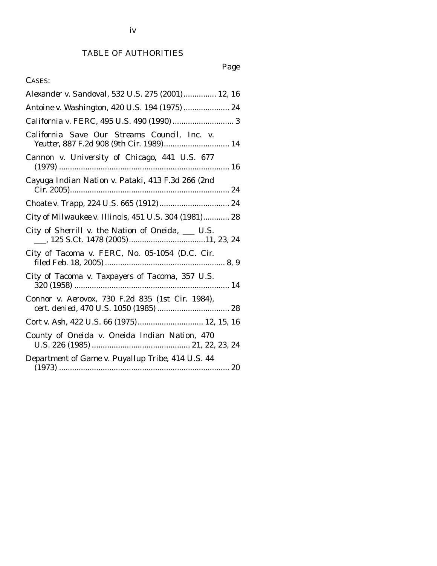# Page

# CASES:

| Alexander v. Sandoval, 532 U.S. 275 (2001) 12, 16                                        |
|------------------------------------------------------------------------------------------|
| Antoine v. Washington, 420 U.S. 194 (1975)  24                                           |
|                                                                                          |
| California Save Our Streams Council, Inc. v.<br>Yeutter, 887 F.2d 908 (9th Cir. 1989) 14 |
| Cannon v. University of Chicago, 441 U.S. 677                                            |
| Cayuga Indian Nation v. Pataki, 413 F.3d 266 (2nd                                        |
|                                                                                          |
| City of Milwaukee v. Illinois, 451 U.S. 304 (1981) 28                                    |
| City of Sherrill v. the Nation of Oneida, ___ U.S.                                       |
| City of Tacoma v. FERC, No. 05-1054 (D.C. Cir.                                           |
| City of Tacoma v. Taxpayers of Tacoma, 357 U.S.                                          |
| Connor v. Aerovox, 730 F.2d 835 (1st Cir. 1984),                                         |
| Cort v. Ash, 422 U.S. 66 (1975) 12, 15, 16                                               |
| County of Oneida v. Oneida Indian Nation, 470                                            |
| Department of Game v. Puyallup Tribe, 414 U.S. 44                                        |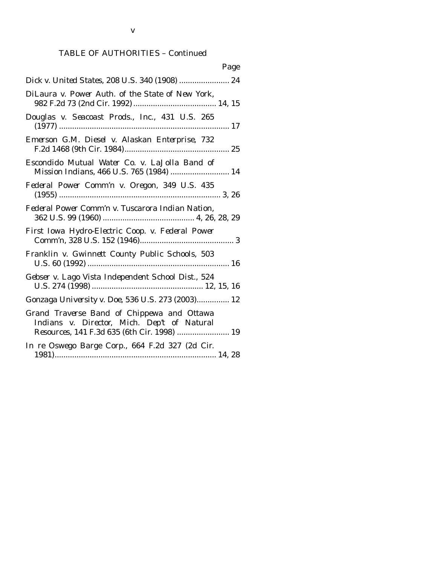| Page                                                                                                                                     |
|------------------------------------------------------------------------------------------------------------------------------------------|
| Dick v. United States, 208 U.S. 340 (1908)  24                                                                                           |
| DiLaura v. Power Auth. of the State of New York,                                                                                         |
| Douglas v. Seacoast Prods., Inc., 431 U.S. 265                                                                                           |
| Emerson G.M. Diesel v. Alaskan Enterprise, 732                                                                                           |
| Escondido Mutual Water Co. v. LaJolla Band of<br>Mission Indians, 466 U.S. 765 (1984)  14                                                |
| Federal Power Comm'n v. Oregon, 349 U.S. 435                                                                                             |
| Federal Power Comm'n v. Tuscarora Indian Nation,                                                                                         |
| First Iowa Hydro-Electric Coop. v. Federal Power                                                                                         |
| Franklin v. Gwinnett County Public Schools, 503                                                                                          |
| Gebser v. Lago Vista Independent School Dist., 524                                                                                       |
| Gonzaga University v. Doe, 536 U.S. 273 (2003) 12                                                                                        |
| Grand Traverse Band of Chippewa and Ottawa<br>Indians v. Director, Mich. Dep't of Natural<br>Resources, 141 F.3d 635 (6th Cir. 1998)  19 |
| In re Oswego Barge Corp., 664 F.2d 327 (2d Cir.                                                                                          |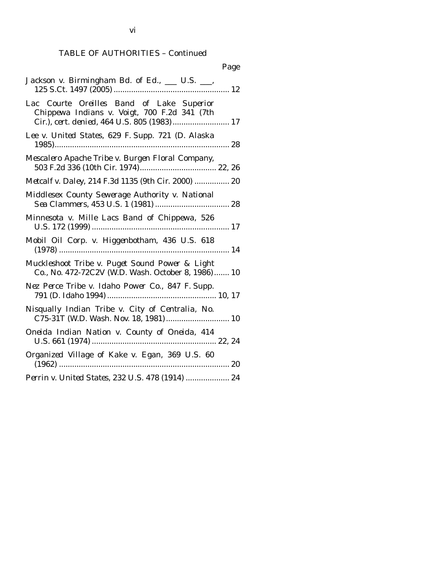# TABLE OF AUTHORITIES – Continued

| Page                                                                                                                                     |
|------------------------------------------------------------------------------------------------------------------------------------------|
| Jackson v. Birmingham Bd. of Ed., __ U.S. __,                                                                                            |
| Lac Courte Oreilles Band of Lake Superior<br>Chippewa Indians v. Voigt, 700 F.2d 341 (7th<br>Cir.), cert. denied, 464 U.S. 805 (1983) 17 |
| Lee v. United States, 629 F. Supp. 721 (D. Alaska                                                                                        |
| Mescalero Apache Tribe v. Burgen Floral Company,                                                                                         |
| Metcalf v. Daley, 214 F.3d 1135 (9th Cir. 2000)  20                                                                                      |
| Middlesex County Sewerage Authority v. National                                                                                          |
| Minnesota v. Mille Lacs Band of Chippewa, 526                                                                                            |
| Mobil Oil Corp. v. Higgenbotham, 436 U.S. 618                                                                                            |
| Muckleshoot Tribe v. Puget Sound Power & Light<br>Co., No. 472-72C2V (W.D. Wash. October 8, 1986) 10                                     |
| Nez Perce Tribe v. Idaho Power Co., 847 F. Supp.                                                                                         |
| Nisqually Indian Tribe v. City of Centralia, No.                                                                                         |
| Oneida Indian Nation v. County of Oneida, 414                                                                                            |
| Organized Village of Kake v. Egan, 369 U.S. 60                                                                                           |
| Perrin v. United States, 232 U.S. 478 (1914)  24                                                                                         |

vi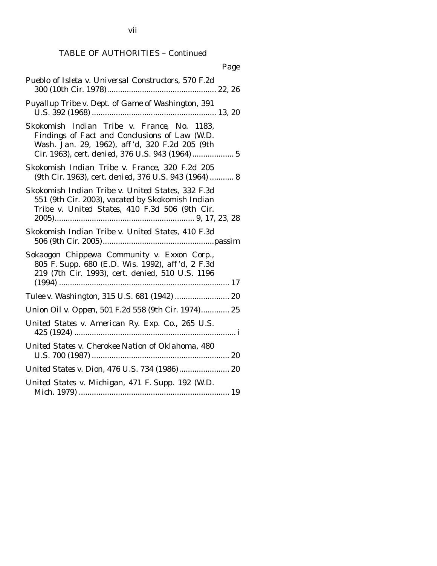TABLE OF AUTHORITIES – Continued

| Page                                                                                                                                                                                               |
|----------------------------------------------------------------------------------------------------------------------------------------------------------------------------------------------------|
| Pueblo of Isleta v. Universal Constructors, 570 F.2d                                                                                                                                               |
| Puyallup Tribe v. Dept. of Game of Washington, 391                                                                                                                                                 |
| Skokomish Indian Tribe v. France, No. 1183,<br>Findings of Fact and Conclusions of Law (W.D.<br>Wash. Jan. 29, 1962), aff'd, 320 F.2d 205 (9th<br>Cir. 1963), cert. denied, 376 U.S. 943 (1964)  5 |
| Skokomish Indian Tribe v. France, 320 F.2d 205<br>(9th Cir. 1963), cert. denied, 376 U.S. 943 (1964)  8                                                                                            |
| Skokomish Indian Tribe v. United States, 332 F.3d<br>551 (9th Cir. 2003), vacated by Skokomish Indian<br>Tribe v. United States, 410 F.3d 506 (9th Cir.                                            |
| Skokomish Indian Tribe v. United States, 410 F.3d                                                                                                                                                  |
| Sokaogon Chippewa Community v. Exxon Corp.,<br>805 F. Supp. 680 (E.D. Wis. 1992), aff'd, 2 F.3d<br>219 (7th Cir. 1993), cert. denied, 510 U.S. 1196                                                |
| Tulee v. Washington, 315 U.S. 681 (1942)  20                                                                                                                                                       |
| Union Oil v. Oppen, 501 F.2d 558 (9th Cir. 1974) 25                                                                                                                                                |
| United States v. American Ry. Exp. Co., 265 U.S.                                                                                                                                                   |
| United States v. Cherokee Nation of Oklahoma, 480                                                                                                                                                  |
| United States v. Dion, 476 U.S. 734 (1986) 20                                                                                                                                                      |
| United States v. Michigan, 471 F. Supp. 192 (W.D.                                                                                                                                                  |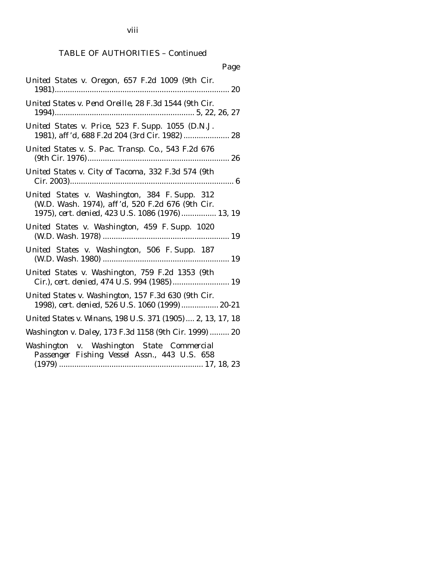viii

# TABLE OF AUTHORITIES – Continued

| Page                                                                                                                                                  |
|-------------------------------------------------------------------------------------------------------------------------------------------------------|
| United States v. Oregon, 657 F.2d 1009 (9th Cir.                                                                                                      |
| United States v. Pend Oreille, 28 F.3d 1544 (9th Cir.                                                                                                 |
| United States v. Price, 523 F. Supp. 1055 (D.N.J.<br>1981), aff'd, 688 F.2d 204 (3rd Cir. 1982)  28                                                   |
| United States v. S. Pac. Transp. Co., 543 F.2d 676                                                                                                    |
| United States v. City of Tacoma, 332 F.3d 574 (9th                                                                                                    |
| United States v. Washington, 384 F. Supp. 312<br>(W.D. Wash. 1974), aff'd, 520 F.2d 676 (9th Cir.<br>1975), cert. denied, 423 U.S. 1086 (1976) 13, 19 |
| United States v. Washington, 459 F. Supp. 1020                                                                                                        |
| United States v. Washington, 506 F. Supp. 187                                                                                                         |
| United States v. Washington, 759 F.2d 1353 (9th<br>Cir.), cert. denied, 474 U.S. 994 (1985) 19                                                        |
| United States v. Washington, 157 F.3d 630 (9th Cir.<br>1998), cert. denied, 526 U.S. 1060 (1999)  20-21                                               |
| United States v. Winans, 198 U.S. 371 (1905)  2, 13, 17, 18                                                                                           |
| Washington v. Daley, 173 F.3d 1158 (9th Cir. 1999)  20                                                                                                |
| Washington v. Washington State Commercial<br>Passenger Fishing Vessel Assn., 443 U.S. 658                                                             |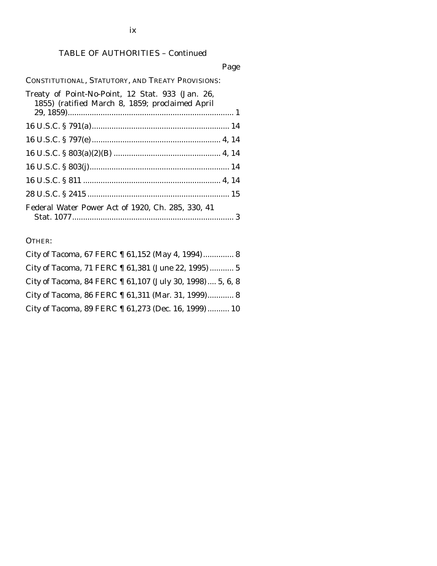# TABLE OF AUTHORITIES – Continued

## Page

CONSTITUTIONAL, STATUTORY, AND TREATY PROVISIONS:

| Treaty of Point-No-Point, 12 Stat. 933 (Jan. 26,<br>1855) (ratified March 8, 1859; proclaimed April |
|-----------------------------------------------------------------------------------------------------|
|                                                                                                     |
|                                                                                                     |
|                                                                                                     |
|                                                                                                     |
|                                                                                                     |
|                                                                                                     |
|                                                                                                     |
| Federal Water Power Act of 1920, Ch. 285, 330, 41                                                   |

OTHER:

| City of Tacoma, 67 FERC 1 61,152 (May 4, 1994) 8          |
|-----------------------------------------------------------|
| City of Tacoma, 71 FERC 1 61,381 (June 22, 1995) 5        |
| City of Tacoma, 84 FERC 1 61,107 (July 30, 1998)  5, 6, 8 |
| City of Tacoma, 86 FERC 1 61,311 (Mar. 31, 1999) 8        |
| City of Tacoma, 89 FERC 1 61,273 (Dec. 16, 1999)  10      |

ix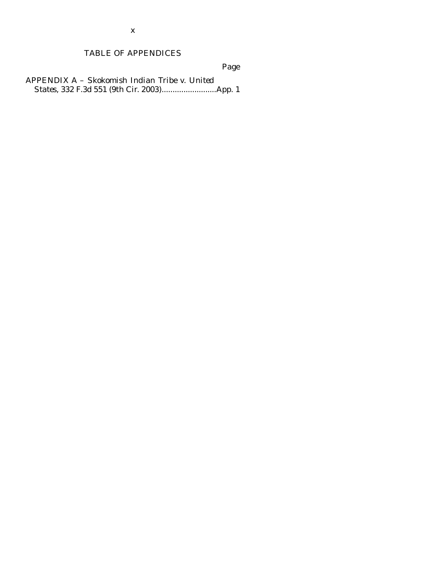# TABLE OF APPENDICES

Page

APPENDIX A – *Skokomish Indian Tribe v. United States*, 332 F.3d 551 (9th Cir. 2003).........................App. 1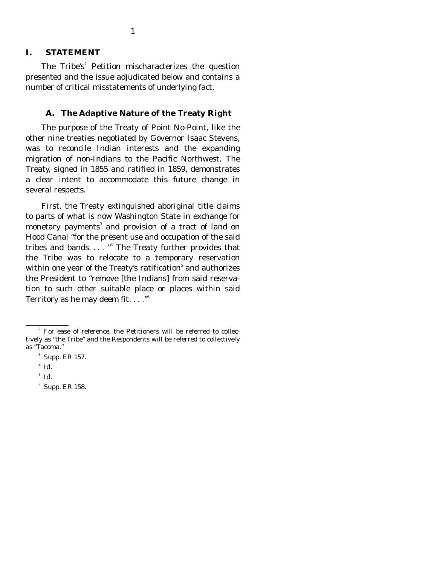#### **I. STATEMENT**

The Tribe's<sup>2</sup> Petition mischaracterizes the question presented and the issue adjudicated below and contains a number of critical misstatements of underlying fact.

#### **A. The Adaptive Nature of the Treaty Right**

 The purpose of the Treaty of Point No-Point, like the other nine treaties negotiated by Governor Isaac Stevens, was to reconcile Indian interests and the expanding migration of non-Indians to the Pacific Northwest. The Treaty, signed in 1855 and ratified in 1859, demonstrates a clear intent to accommodate this future change in several respects.

 First, the Treaty extinguished aboriginal title claims to parts of what is now Washington State in exchange for monetary payments<sup>3</sup> and provision of a tract of land on Hood Canal "for the present use and occupation of the said tribes and bands...."<sup>4</sup> The Treaty further provides that the Tribe was to relocate to a temporary reservation within one year of the Treaty's ratification $^5$  and authorizes the President to "remove [the Indians] from said reservation to such other suitable place or places within said Territory as he may deem fit.  $\dots$ ."<sup>6</sup>

<sup>6</sup> Supp. ER 158.

<sup>&</sup>lt;sup>2</sup> For ease of reference, the Petitioners will be referred to collectively as "the Tribe" and the Respondents will be referred to collectively as "Tacoma."

<sup>&</sup>lt;sup>3</sup> Supp. ER 157.

<sup>4</sup> *Id.*

<sup>5</sup> *Id.*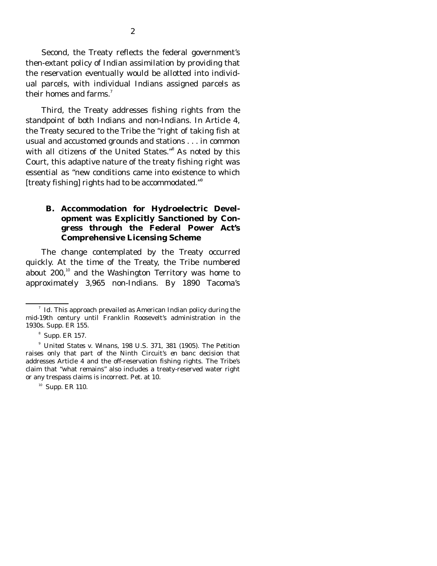Second, the Treaty reflects the federal government's then-extant policy of Indian assimilation by providing that the reservation eventually would be allotted into individual parcels, with individual Indians assigned parcels as their homes and farms.<sup>7</sup>

 Third, the Treaty addresses fishing rights from the standpoint of both Indians and non-Indians. In Article 4, the Treaty secured to the Tribe the "right of taking fish at usual and accustomed grounds and stations . . . in common with all citizens of the United States."<sup>8</sup> As noted by this Court, this adaptive nature of the treaty fishing right was essential as "new conditions came into existence to which [treaty fishing] rights had to be accommodated."<sup>9</sup>

### **B. Accommodation for Hydroelectric Development was Explicitly Sanctioned by Congress through the Federal Power Act's Comprehensive Licensing Scheme**

The change contemplated by the Treaty occurred quickly. At the time of the Treaty, the Tribe numbered about  $200$ ,<sup>10</sup> and the Washington Territory was home to approximately 3,965 non-Indians. By 1890 Tacoma's

<sup>&</sup>lt;sup>7</sup> *Id*. This approach prevailed as American Indian policy during the mid-19th century until Franklin Roosevelt's administration in the 1930s. Supp. ER 155.

<sup>&</sup>lt;sup>8</sup> Supp. ER 157.

<sup>9</sup> *United States v. Winans*, 198 U.S. 371, 381 (1905). The Petition raises only that part of the Ninth Circuit's *en banc* decision that addresses Article 4 and the off-reservation fishing rights. The Tribe's claim that "what remains" also includes a treaty-reserved water right or any trespass claims is incorrect. Pet. at 10.

 $10$  Supp. ER 110.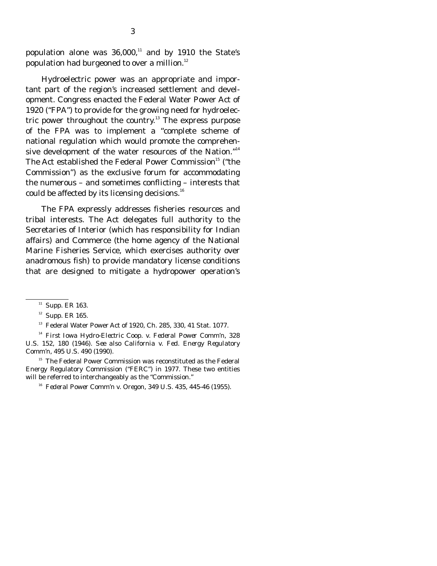population alone was  $36,000$ ,<sup>11</sup> and by 1910 the State's population had burgeoned to over a million.<sup>12</sup>

 Hydroelectric power was an appropriate and important part of the region's increased settlement and development. Congress enacted the Federal Water Power Act of 1920 ("FPA") to provide for the growing need for hydroelectric power throughout the country.<sup>13</sup> The express purpose of the FPA was to implement a "complete scheme of national regulation which would promote the comprehensive development of the water resources of the Nation."<sup>14</sup> The Act established the Federal Power Commission<sup>15</sup> ("the Commission") as the exclusive forum for accommodating the numerous – and sometimes conflicting – interests that could be affected by its licensing decisions.<sup>16</sup>

 The FPA expressly addresses fisheries resources and tribal interests. The Act delegates full authority to the Secretaries of Interior (which has responsibility for Indian affairs) and Commerce (the home agency of the National Marine Fisheries Service, which exercises authority over anadromous fish) to provide mandatory license conditions that are designed to mitigate a hydropower operation's

 $11$  Supp. ER 163.

 $12$  Supp. ER 165.

<sup>&</sup>lt;sup>13</sup> Federal Water Power Act of 1920, Ch. 285, 330, 41 Stat. 1077.

<sup>14</sup> *First Iowa Hydro-Electric Coop. v. Federal Power Comm'n*, 328 U.S. 152, 180 (1946). *See also California v. Fed. Energy Regulatory Comm'n*, 495 U.S. 490 (1990).

<sup>&</sup>lt;sup>15</sup> The Federal Power Commission was reconstituted as the Federal Energy Regulatory Commission ("FERC") in 1977. These two entities will be referred to interchangeably as the "Commission."

<sup>16</sup> *Federal Power Comm'n v. Oregon*, 349 U.S. 435, 445-46 (1955).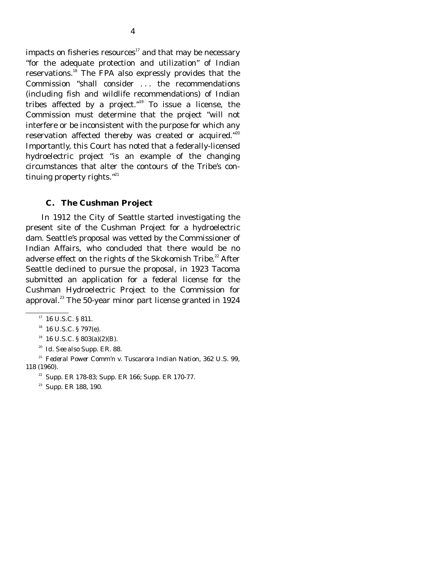impacts on fisheries resources $17$  and that may be necessary "for the adequate protection and utilization" of Indian reservations.18 The FPA also expressly provides that the Commission "shall consider . . . the recommendations (including fish and wildlife recommendations) of Indian tribes affected by a project."19 To issue a license, the Commission must determine that the project "will not interfere or be inconsistent with the purpose for which any reservation affected thereby was created or acquired."<sup>20</sup> Importantly, this Court has noted that a federally-licensed hydroelectric project "is an example of the changing circumstances that alter the contours of the Tribe's continuing property rights." $^{21}$ 

#### **C. The Cushman Project**

 In 1912 the City of Seattle started investigating the present site of the Cushman Project for a hydroelectric dam. Seattle's proposal was vetted by the Commissioner of Indian Affairs, who concluded that there would be no adverse effect on the rights of the Skokomish Tribe.<sup>22</sup> After Seattle declined to pursue the proposal, in 1923 Tacoma submitted an application for a federal license for the Cushman Hydroelectric Project to the Commission for approval. $^{23}$  The 50-year minor part license granted in 1924

 $17$  16 U.S.C. § 811.

 $18$  16 U.S.C. § 797(e).

 $19 \text{ U.S.C. }$  § 803(a)(2)(B).

<sup>20</sup> *Id. See also* Supp. ER. 88.

<sup>21</sup> *Federal Power Comm'n v. Tuscarora Indian Nation*, 362 U.S. 99, 118 (1960).

 $22$  Supp. ER 178-83; Supp. ER 166; Supp. ER 170-77.

<sup>&</sup>lt;sup>23</sup> Supp. ER 188, 190.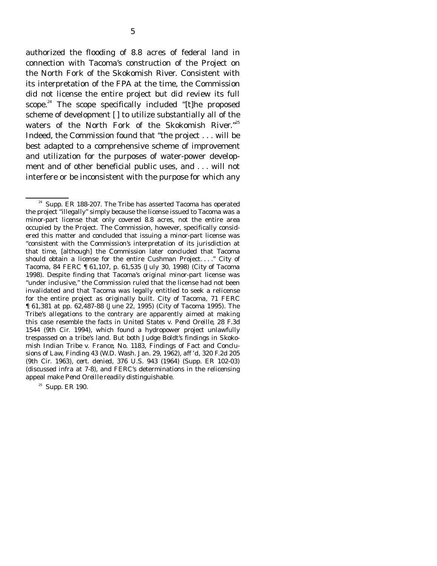authorized the flooding of 8.8 acres of federal land in connection with Tacoma's construction of the Project on the North Fork of the Skokomish River. Consistent with its interpretation of the FPA at the time, the Commission did not license the entire project but did review its full scope.<sup>24</sup> The scope specifically included "[t]he proposed scheme of development [] to utilize substantially all of the waters of the North Fork of the Skokomish River."<sup>25</sup> Indeed, the Commission found that "the project . . . will be best adapted to a comprehensive scheme of improvement and utilization for the purposes of water-power development and of other beneficial public uses, and . . . will not interfere or be inconsistent with the purpose for which any

 $25$  Supp. ER 190.

<sup>&</sup>lt;sup>24</sup> Supp. ER 188-207. The Tribe has asserted Tacoma has operated the project "illegally" simply because the license issued to Tacoma was a minor-part license that only covered 8.8 acres, not the entire area occupied by the Project. The Commission, however, specifically considered this matter and concluded that issuing a minor-part license was "consistent with the Commission's interpretation of its jurisdiction at that time, [although] the Commission later concluded that Tacoma should obtain a license for the entire Cushman Project. . . ." *City of Tacoma*, 84 FERC ¶ 61,107, p. 61,535 (July 30, 1998) (*City of Tacoma 1998*). Despite finding that Tacoma's original minor-part license was "under inclusive," the Commission ruled that the license had not been invalidated and that Tacoma was legally entitled to seek a relicense for the entire project as originally built. *City of Tacoma*, 71 FERC ¶ 61,381 at pp. 62,487-88 (June 22, 1995) (*City of Tacoma 1995*). The Tribe's allegations to the contrary are apparently aimed at making this case resemble the facts in *United States v. Pend Oreille*, 28 F.3d 1544 (9th Cir. 1994), which found a hydropower project unlawfully trespassed on a tribe's land. But both Judge Boldt's findings in *Skokomish Indian Tribe v. France*, No. 1183, Findings of Fact and Conclusions of Law, Finding 43 (W.D. Wash. Jan. 29, 1962), *aff 'd*, 320 F.2d 205 (9th Cir. 1963), *cert. denied*, 376 U.S. 943 (1964) (Supp. ER 102-03) (discussed *infra* at 7-8), and FERC's determinations in the relicensing appeal make *Pend Oreille* readily distinguishable.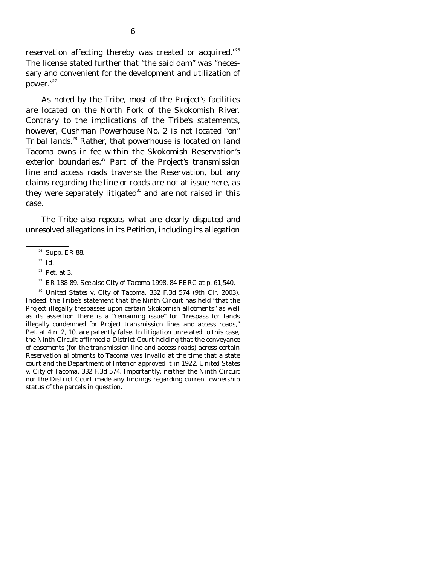reservation affecting thereby was created or acquired."<sup>26</sup> The license stated further that "the said dam" was "necessary and convenient for the development and utilization of power."<sup>27</sup>

 As noted by the Tribe, most of the Project's facilities are located on the North Fork of the Skokomish River. Contrary to the implications of the Tribe's statements, however, Cushman Powerhouse No. 2 is not located "on" Tribal lands.<sup>28</sup> Rather, that powerhouse is located on land Tacoma owns in fee within the Skokomish Reservation's exterior boundaries.<sup>29</sup> Part of the Project's transmission line and access roads traverse the Reservation, but any claims regarding the line or roads are not at issue here, as they were separately litigated $30$  and are not raised in this case.

 The Tribe also repeats what are clearly disputed and unresolved allegations in its Petition, including its allegation

 <sup>30</sup> *United States v. City of Tacoma*, 332 F.3d 574 (9th Cir. 2003). Indeed, the Tribe's statement that the Ninth Circuit has held "that the Project illegally trespasses upon certain Skokomish allotments" as well as its assertion there is a "remaining issue" for "trespass for lands illegally condemned for Project transmission lines and access roads," Pet. at 4 n. 2, 10, are patently false. In litigation unrelated to this case, the Ninth Circuit affirmed a District Court holding that the conveyance of easements (for the transmission line and access roads) across certain Reservation allotments to Tacoma was invalid at the time that a state court and the Department of Interior approved it in 1922. *United States v. City of Tacoma*, 332 F.3d 574. Importantly, neither the Ninth Circuit nor the District Court made any findings regarding current ownership status of the parcels in question.

 $26$  Supp. ER 88.

<sup>27</sup> *Id.*

 $28$  Pet. at 3.

29 ER 188-89. *See also City of Tacoma 1998,* 84 FERC at p. 61,540.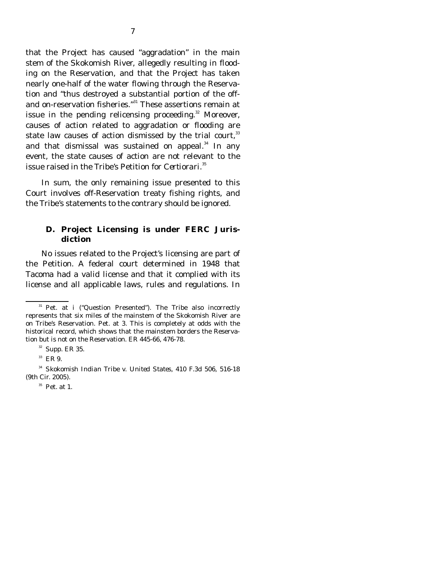that the Project has caused "aggradation" in the main stem of the Skokomish River, allegedly resulting in flooding on the Reservation, and that the Project has taken nearly one-half of the water flowing through the Reservation and "thus destroyed a substantial portion of the offand on-reservation fisheries."31 These assertions remain at issue in the pending relicensing proceeding. $32$  Moreover, causes of action related to aggradation or flooding are state law causes of action dismissed by the trial court, $33$ and that dismissal was sustained on appeal. $34$  In any event, the state causes of action are not relevant to the issue raised in the Tribe's Petition for *Certiorari*. 35

 In sum, the only remaining issue presented to this Court involves off-Reservation treaty fishing rights, and the Tribe's statements to the contrary should be ignored.

#### **D. Project Licensing is under FERC Jurisdiction**

 No issues related to the Project's licensing are part of the Petition. A federal court determined in 1948 that Tacoma had a valid license and that it complied with its license and all applicable laws, rules and regulations. In

 $31$  Pet. at *i* ("Question Presented"). The Tribe also incorrectly represents that six miles of the mainstem of the Skokomish River are on Tribe's Reservation. Pet. at 3. This is completely at odds with the historical record, which shows that the mainstem borders the Reservation but is not on the Reservation. ER 445-66, 476-78.

 $32$  Supp. ER 35.

 $33$  ER 9.

<sup>34</sup> *Skokomish Indian Tribe v. United States*, 410 F.3d 506, 516-18 (9th Cir. 2005).

 $35$  Pet. at 1.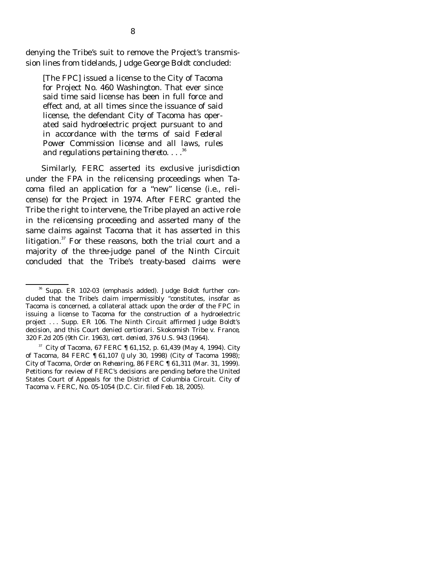denying the Tribe's suit to remove the Project's transmission lines from tidelands, Judge George Boldt concluded:

[The FPC] issued a license to the City of Tacoma for Project No. 460 Washington. That ever since said time said license has been in full force and effect and, at all times since the issuance of said license, the defendant City of Tacoma has operated said hydroelectric project pursuant to *and in accordance with the terms of said Federal Power Commission license and all laws, rules and regulations pertaining thereto*. . . .36

 Similarly, FERC asserted its exclusive jurisdiction under the FPA in the relicensing proceedings when Tacoma filed an application for a "new" license (i.e., relicense) for the Project in 1974. After FERC granted the Tribe the right to intervene, the Tribe played an active role in the relicensing proceeding and asserted many of the same claims against Tacoma that it has asserted in this litigation. $37$  For these reasons, both the trial court and a majority of the three-judge panel of the Ninth Circuit concluded that the Tribe's treaty-based claims were

36 Supp. ER 102-03 (emphasis added). Judge Boldt further concluded that the Tribe's claim impermissibly "constitutes, insofar as Tacoma is concerned, a collateral attack upon the order of the FPC in issuing a license to Tacoma for the construction of a hydroelectric project . . . Supp. ER 106. The Ninth Circuit affirmed Judge Boldt's decision, and this Court denied certiorari. *Skokomish Tribe v. France*, 320 F.2d 205 (9th Cir. 1963), *cert. denied*, 376 U.S. 943 (1964).

<sup>37</sup> *City of Tacoma*, 67 FERC ¶ 61,152, p. 61,439 (May 4, 1994). *City of Tacoma*, 84 FERC ¶ 61,107 (July 30, 1998) (*City of Tacoma 1998)*; *City of Tacoma, Order on Rehearing,* 86 FERC ¶ 61,311 (Mar. 31, 1999). Petitions for review of FERC's decisions are pending before the United States Court of Appeals for the District of Columbia Circuit. *City of Tacoma v. FERC,* No. 05-1054 (D.C. Cir. filed Feb. 18, 2005).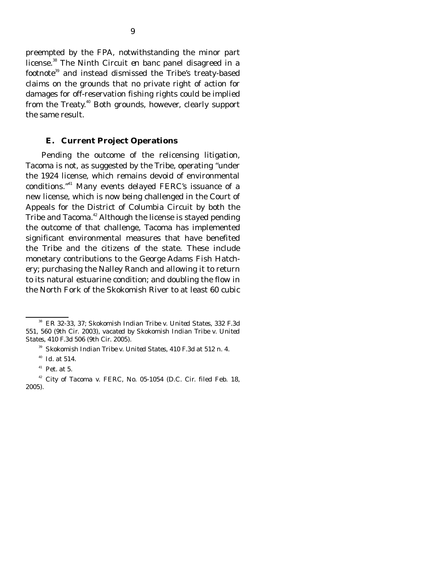preempted by the FPA, notwithstanding the minor part license.38 The Ninth Circuit *en banc* panel disagreed in a footnote39 and instead dismissed the Tribe's treaty-based claims on the grounds that no private right of action for damages for off-reservation fishing rights could be implied from the Treaty.<sup>40</sup> Both grounds, however, clearly support the same result.

#### **E. Current Project Operations**

Pending the outcome of the relicensing litigation, Tacoma is not, as suggested by the Tribe, operating "under the 1924 license, which remains devoid of environmental conditions."41 Many events delayed FERC's issuance of a new license, which is now being challenged in the Court of Appeals for the District of Columbia Circuit by both the Tribe and Tacoma.<sup>42</sup> Although the license is stayed pending the outcome of that challenge, Tacoma has implemented significant environmental measures that have benefited the Tribe and the citizens of the state. These include monetary contributions to the George Adams Fish Hatchery; purchasing the Nalley Ranch and allowing it to return to its natural estuarine condition; and doubling the flow in the North Fork of the Skokomish River to at least 60 cubic

38 ER 32-33, 37; *Skokomish Indian Tribe v. United States*, 332 F.3d 551, 560 (9th Cir. 2003), *vacated by Skokomish Indian Tribe v. United States*, 410 F.3d 506 (9th Cir. 2005).

<sup>39</sup> *Skokomish Indian Tribe v. United States*, 410 F.3d at 512 n. 4.

<sup>40</sup> *Id.* at 514.

 $41$  Pet. at 5.

<sup>42</sup> *City of Tacoma v. FERC*, No. 05-1054 (D.C. Cir. filed Feb. 18, 2005).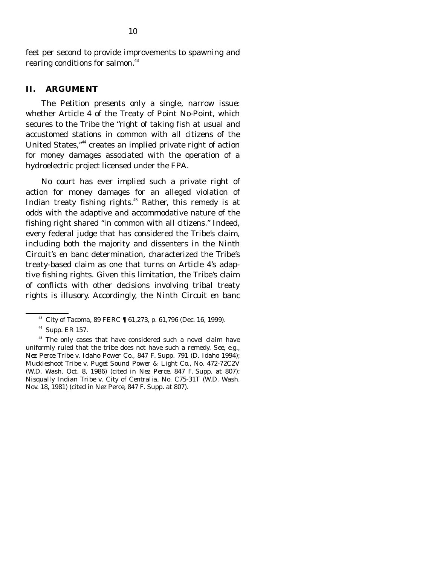feet per second to provide improvements to spawning and rearing conditions for salmon.<sup>43</sup>

#### **II. ARGUMENT**

 The Petition presents only a single, narrow issue: whether Article 4 of the Treaty of Point No-Point, which secures to the Tribe the "right of taking fish at usual and accustomed stations in common with all citizens of the United States,"44 creates an implied private right of action for money damages associated with the operation of a hydroelectric project licensed under the FPA.

 No court has ever implied such a private right of action for money damages for an alleged violation of Indian treaty fishing rights.<sup>45</sup> Rather, this remedy is at odds with the adaptive and accommodative nature of the fishing right shared "in common with all citizens." Indeed, every federal judge that has considered the Tribe's claim, including both the majority and dissenters in the Ninth Circuit's *en banc* determination, characterized the Tribe's treaty-based claim as one that turns on Article 4's adaptive fishing rights. Given this limitation, the Tribe's claim of conflicts with other decisions involving tribal treaty rights is illusory. Accordingly, the Ninth Circuit *en banc*

<sup>43</sup> *City of Tacoma*, 89 FERC ¶ 61,273, p. 61,796 (Dec. 16, 1999).

44 Supp. ER 157.

<sup>&</sup>lt;sup>45</sup> The only cases that have considered such a novel claim have uniformly ruled that the tribe does not have such a remedy. *See, e.g., Nez Perce Tribe v. Idaho Power Co.*, 847 F. Supp. 791 (D. Idaho 1994); *Muckleshoot Tribe v. Puget Sound Power & Light Co.*, No. 472-72C2V (W.D. Wash. Oct. 8, 1986) (cited in *Nez Perce*, 847 F. Supp. at 807); *Nisqually Indian Tribe v. City of Centralia*, No. C75-31T (W.D. Wash. Nov. 18, 1981) (cited in *Nez Perce*, 847 F. Supp. at 807).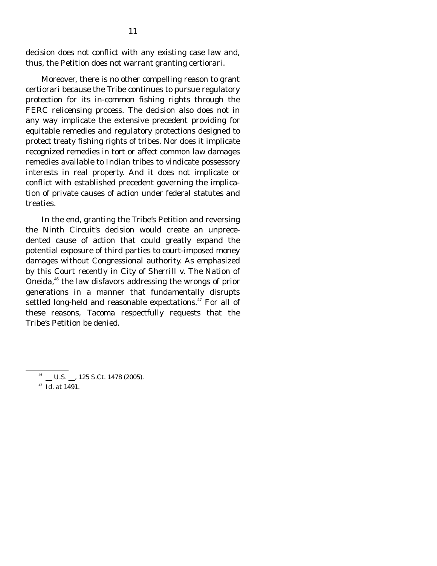decision does not conflict with any existing case law and, thus, the Petition does not warrant granting *certiorari*.

 Moreover, there is no other compelling reason to grant certiorari because the Tribe continues to pursue regulatory protection for its in-common fishing rights through the FERC relicensing process. The decision also does not in any way implicate the extensive precedent providing for equitable remedies and regulatory protections designed to protect treaty fishing rights of tribes. Nor does it implicate recognized remedies in tort or affect common law damages remedies available to Indian tribes to vindicate possessory interests in real property. And it does not implicate or conflict with established precedent governing the implication of private causes of action under federal statutes and treaties.

 In the end, granting the Tribe's Petition and reversing the Ninth Circuit's decision would create an unprecedented cause of action that could greatly expand the potential exposure of third parties to court-imposed money damages without Congressional authority. As emphasized by this Court recently in *City of Sherrill v. The Nation of Oneida*, 46 the law disfavors addressing the wrongs of prior generations in a manner that fundamentally disrupts settled long-held and reasonable expectations.<sup>47</sup> For all of these reasons, Tacoma respectfully requests that the Tribe's Petition be denied.

 $^{46}$  \_ U.S. \_, 125 S.Ct. 1478 (2005).

<sup>47</sup> *Id.* at 1491.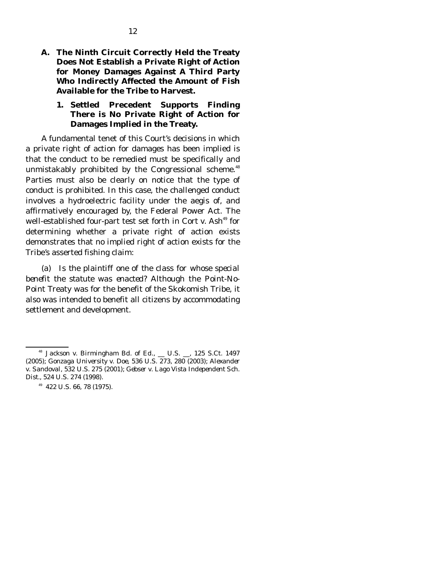**A. The Ninth Circuit Correctly Held the Treaty Does Not Establish a Private Right of Action for Money Damages Against A Third Party Who Indirectly Affected the Amount of Fish Available for the Tribe to Harvest.** 

### **1. Settled Precedent Supports Finding There is No Private Right of Action for Damages Implied in the Treaty.**

 A fundamental tenet of this Court's decisions in which a private right of action for damages has been implied is that the conduct to be remedied must be specifically and unmistakably prohibited by the Congressional scheme.<sup>48</sup> Parties must also be clearly on notice that the type of conduct is prohibited. In this case, the challenged conduct involves a hydroelectric facility under the aegis of, and affirmatively encouraged by, the Federal Power Act. The well-established four-part test set forth in *Cort v. Ash*<sup>49</sup> for determining whether a private right of action exists demonstrates that no implied right of action exists for the Tribe's asserted fishing claim:

 (a) *Is the plaintiff one of the class for whose special benefit the statute was enacted?* Although the Point-No-Point Treaty was for the benefit of the Skokomish Tribe, it also was intended to benefit all citizens by accommodating settlement and development.

<sup>48</sup> *Jackson v. Birmingham Bd. of Ed.*, \_\_ U.S. \_\_, 125 S.Ct. 1497 (2005); *Gonzaga University v. Doe*, 536 U.S. 273, 280 (2003); *Alexander v. Sandoval*, 532 U.S. 275 (2001); *Gebser v. Lago Vista Independent Sch. Dist.*, 524 U.S. 274 (1998).

 $49$  422 U.S. 66, 78 (1975).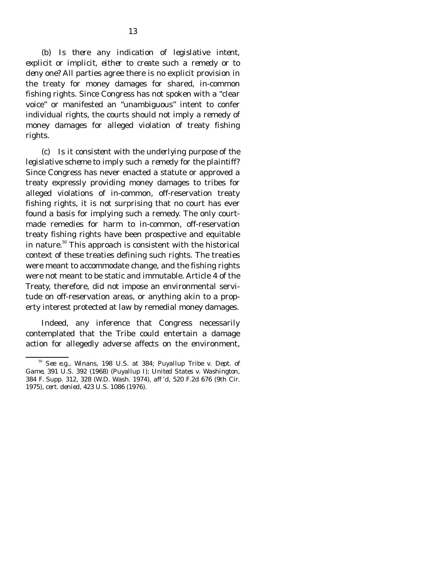(b) *Is there any indication of legislative intent, explicit or implicit, either to create such a remedy or to deny one?* All parties agree there is no explicit provision in the treaty for money damages for shared, in-common fishing rights. Since Congress has not spoken with a "clear voice" or manifested an "unambiguous" intent to confer individual rights, the courts should not imply a remedy of money damages for alleged violation of treaty fishing rights.

 (c) *Is it consistent with the underlying purpose of the legislative scheme to imply such a remedy for the plaintiff?* Since Congress has never enacted a statute or approved a treaty expressly providing money damages to tribes for alleged violations of in-common, off-reservation treaty fishing rights, it is not surprising that no court has ever found a basis for implying such a remedy. The only courtmade remedies for harm to in-common, off-reservation treaty fishing rights have been prospective and equitable in nature.<sup>50</sup> This approach is consistent with the historical context of these treaties defining such rights. The treaties were meant to accommodate change, and the fishing rights were not meant to be static and immutable. Article 4 of the Treaty, therefore, did not impose an environmental servitude on off-reservation areas, or anything akin to a property interest protected at law by remedial money damages.

 Indeed, any inference that Congress necessarily contemplated that the Tribe could entertain a damage action for allegedly adverse affects on the environment,

<sup>50</sup> *See e.g., Winans*, 198 U.S. at 384; *Puyallup Tribe v. Dept. of Game*, 391 U.S. 392 (1968) (*Puyallup I*); *United States v. Washington*, 384 F. Supp. 312, 328 (W.D. Wash. 1974), *aff 'd*, 520 F.2d 676 (9th Cir. 1975), *cert. denied*, 423 U.S. 1086 (1976).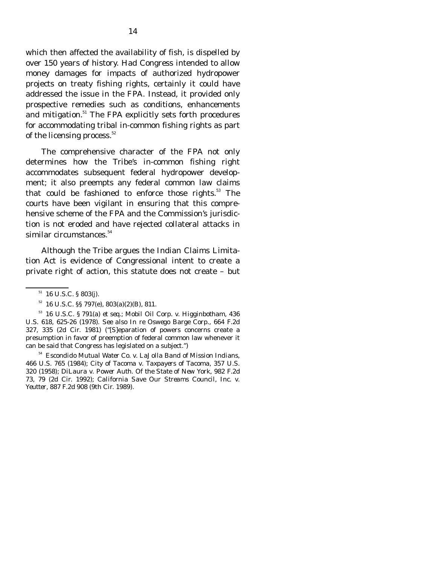which then affected the availability of fish, is dispelled by over 150 years of history. Had Congress intended to allow money damages for impacts of authorized hydropower projects on treaty fishing rights, certainly it could have addressed the issue in the FPA. Instead, it provided only prospective remedies such as conditions, enhancements and mitigation.<sup>51</sup> The FPA explicitly sets forth procedures for accommodating tribal in-common fishing rights as part of the licensing process.<sup>52</sup>

 The comprehensive character of the FPA not only determines how the Tribe's in-common fishing right accommodates subsequent federal hydropower development; it also preempts any federal common law claims that could be fashioned to enforce those rights. $53$  The courts have been vigilant in ensuring that this comprehensive scheme of the FPA and the Commission's jurisdiction is not eroded and have rejected collateral attacks in similar circumstances.<sup>54</sup>

 Although the Tribe argues the Indian Claims Limitation Act is evidence of Congressional intent to create a private right of action, this statute does not create – but

 $51$  16 U.S.C. § 803(j).

 $52$  16 U.S.C. §§ 797(e), 803(a)(2)(B), 811.

53 16 U.S.C. § 791(a) *et seq*.; *Mobil Oil Corp. v. Higginbotham*, 436 U.S. 618, 625-26 (1978). *See also In re Oswego Barge Corp.*, 664 F.2d 327, 335 (2d Cir. 1981) ("[S]eparation of powers concerns create a presumption in favor of preemption of federal common law whenever it can be said that Congress has legislated on a subject.")

<sup>54</sup> *Escondido Mutual Water Co. v. LaJolla Band of Mission Indians,*  466 U.S. 765 (1984); *City of Tacoma v. Taxpayers of Tacoma*, 357 U.S. 320 (1958); *DiLaura v. Power Auth. Of the State of New York*, 982 F.2d 73, 79 (2d Cir. 1992); *California Save Our Streams Council, Inc. v. Yeutter*, 887 F.2d 908 (9th Cir. 1989).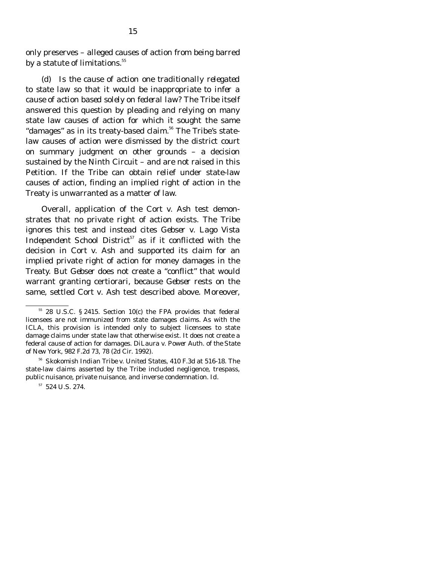only preserves – alleged causes of action from being barred by a statute of limitations. $^{\rm 55}$ 

 (d) *Is the cause of action one traditionally relegated to state law so that it would be inappropriate to infer a cause of action based solely on federal law?* The Tribe itself answered this question by pleading and relying on many state law causes of action for which it sought the same "damages" as in its treaty-based claim.<sup>56</sup> The Tribe's statelaw causes of action were dismissed by the district court on summary judgment on other grounds – a decision sustained by the Ninth Circuit – and are not raised in this Petition. If the Tribe can obtain relief under state-law causes of action, finding an implied right of action in the Treaty is unwarranted as a matter of law.

 Overall, application of the *Cort v. Ash* test demonstrates that no private right of action exists. The Tribe ignores this test and instead cites *Gebser v. Lago Vista Independent School District*<sup>57</sup> as if it conflicted with the decision in *Cort v. Ash* and supported its claim for an implied private right of action for money damages in the Treaty. But *Gebser* does not create a "conflict" that would warrant granting certiorari, because *Gebser* rests on the same, settled *Cort v*. *Ash* test described above. Moreover,

55 28 U.S.C. § 2415. Section 10(c) the FPA provides that federal licensees are not immunized from state damages claims. As with the ICLA, this provision is intended only to subject licensees to state damage claims under state law that otherwise exist. It does not create a federal cause of action for damages. *DiLaura v. Power Auth. of the State of New York*, 982 F.2d 73, 78 (2d Cir. 1992).

<sup>56</sup> *Skokomish Indian Tribe v. United States*, 410 F.3d at 516-18. The state-law claims asserted by the Tribe included negligence, trespass, public nuisance, private nuisance, and inverse condemnation. *Id.* 

57 524 U.S. 274.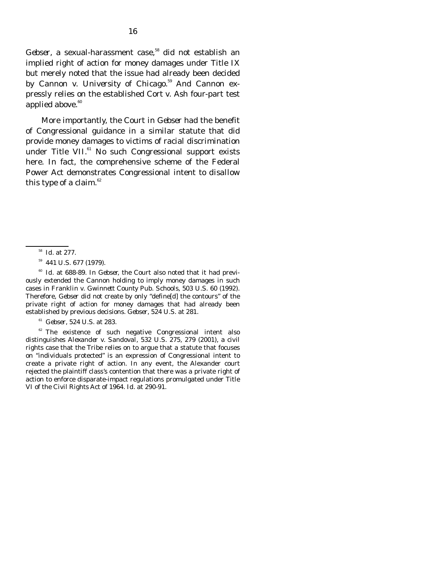*Gebser*, a sexual-harassment case,<sup>58</sup> did not establish an implied right of action for money damages under Title IX but merely noted that the issue had already been decided by *Cannon v. University of Chicago*. 59 And *Cannon* expressly relies on the established *Cort v. Ash* four-part test applied above.<sup>60</sup>

 More importantly, the Court in *Gebser* had the benefit of Congressional guidance in a similar statute that did provide money damages to victims of racial discrimination under Title VII.<sup>61</sup> No such Congressional support exists here. In fact, the comprehensive scheme of the Federal Power Act demonstrates Congressional intent to *disallow* this type of a claim. $62$ 

 <sup>60</sup> *Id.* at 688-89. In *Gebser,* the Court also noted that it had previously extended the *Cannon* holding to imply money damages in such cases in *Franklin v. Gwinnett County Pub. Schools,* 503 U.S. 60 (1992). Therefore, *Gebser* did not create by only "define[d] the contours" of the private right of action for money damages that had already been established by previous decisions. *Gebser*, 524 U.S. at 281.

<sup>61</sup> *Gebser*, 524 U.S. at 283.

 $62$  The existence of such negative Congressional intent also distinguishes *Alexander v. Sandoval*, 532 U.S. 275, 279 (2001), a civil rights case that the Tribe relies on to argue that a statute that focuses on "individuals protected" is an expression of Congressional intent to create a private right of action. In any event, the Alexander court rejected the plaintiff class's contention that there was a private right of action to enforce disparate-impact regulations promulgated under Title VI of the Civil Rights Act of 1964. *Id.* at 290-91.

<sup>58</sup> *Id.* at 277.

59 441 U.S. 677 (1979).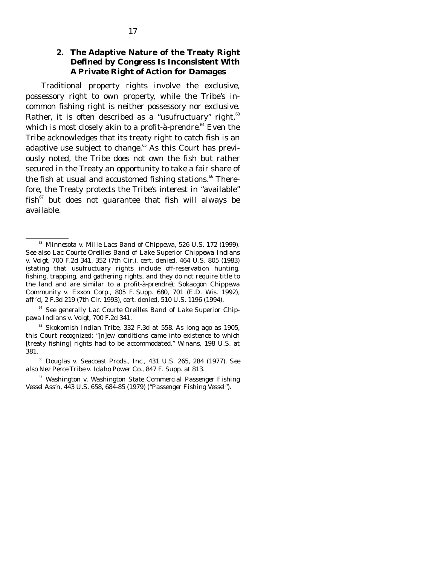## **2. The Adaptive Nature of the Treaty Right Defined by Congress Is Inconsistent With A Private Right of Action for Damages**

 Traditional property rights involve the exclusive, possessory right to own property, while the Tribe's incommon fishing right is neither possessory nor exclusive. Rather, it is often described as a "usufructuary" right,  $63$ which is most closely akin to a *profit-à-prendre*.<sup>64</sup> Even the Tribe acknowledges that its treaty right to catch fish is an adaptive use subject to change.<sup>65</sup> As this Court has previously noted, the Tribe does not own the fish but rather secured in the Treaty an opportunity to take a fair share of the fish at usual and accustomed fishing stations. $66$  Therefore, the Treaty protects the Tribe's interest in "available"  $fish<sup>67</sup>$  but does not guarantee that fish will always be available.

 <sup>64</sup> *See generally Lac Courte Oreilles Band of Lake Superior Chippewa Indians v. Voigt*, 700 F.2d 341.

 <sup>65</sup> *Skokomish Indian Tribe*, 332 F.3d at 558. As long ago as 1905, this Court recognized: "[n]ew conditions came into existence to which [treaty fishing] rights had to be accommodated." *Winans*, 198 U.S. at 381.

 <sup>66</sup> *Douglas v. Seacoast Prods., Inc.*, 431 U.S. 265, 284 (1977). *See also Nez Perce Tribe v. Idaho Power Co.*, 847 F. Supp. at 813.

 <sup>67</sup> *Washington v. Washington State Commercial Passenger Fishing Vessel Ass'n*, 443 U.S. 658, 684-85 (1979) ("*Passenger Fishing Vessel")*.

<sup>63</sup> *Minnesota v. Mille Lacs Band of Chippewa*, 526 U.S. 172 (1999). *See also Lac Courte Oreilles Band of Lake Superior Chippewa Indians v. Voigt*, 700 F.2d 341, 352 (7th Cir.), *cert. denied*, 464 U.S. 805 (1983) (stating that usufructuary rights include off-reservation hunting, fishing, trapping, and gathering rights, and they do not require title to the land and are similar to a *profit-à-prendre*)*; Sokaogon Chippewa Community v. Exxon Corp*., 805 F. Supp. 680, 701 (E.D. Wis. 1992), *aff 'd*, 2 F.3d 219 (7th Cir. 1993), *cert. denied*, 510 U.S. 1196 (1994).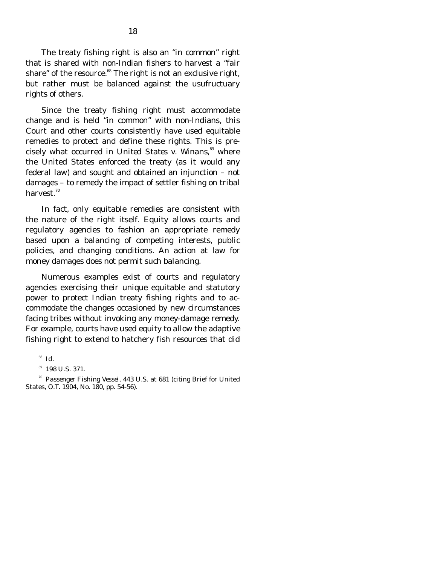The treaty fishing right is also an "in common" right that is shared with non-Indian fishers to harvest a "fair share" of the resource. $68$  The right is not an exclusive right, but rather must be balanced against the usufructuary rights of others.

 Since the treaty fishing right must accommodate change and is held "in common" with non-Indians, this Court and other courts consistently have used equitable remedies to protect and define these rights. This is precisely what occurred in *United States v. Winans*, 69 where the United States enforced the treaty (as it would any federal law) and sought and obtained an injunction – not damages – to remedy the impact of settler fishing on tribal harvest.<sup>70</sup>

 In fact, only equitable remedies are consistent with the nature of the right itself. Equity allows courts and regulatory agencies to fashion an appropriate remedy based upon a balancing of competing interests, public policies, and changing conditions. An action at law for money damages does not permit such balancing.

 Numerous examples exist of courts and regulatory agencies exercising their unique equitable and statutory power to protect Indian treaty fishing rights and to accommodate the changes occasioned by new circumstances facing tribes without invoking any money-damage remedy. For example, courts have used equity to allow the adaptive fishing right to extend to hatchery fish resources that did

<sup>68</sup> *Id*.

<sup>&</sup>lt;sup>69</sup> 198 U.S. 371.

<sup>70</sup> *Passenger Fishing Vessel*, 443 U.S. at 681 (*citing* Brief for United States, O.T. 1904, No. 180, pp. 54-56).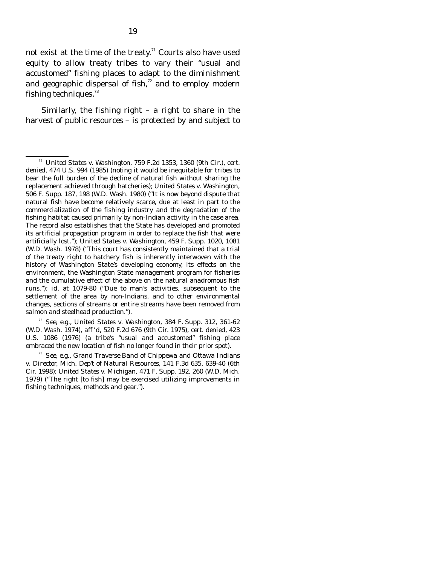not exist at the time of the treaty.<sup>71</sup> Courts also have used equity to allow treaty tribes to vary their "usual and accustomed" fishing places to adapt to the diminishment and geographic dispersal of fish, $72$  and to employ modern fishing techniques. $^{73}$ 

Similarly, the fishing right  $-$  a right to share in the harvest of *public resources* – is protected by and subject to

 <sup>72</sup> *See, e.g.*, *United States v. Washington*, 384 F. Supp. 312, 361-62 (W.D. Wash. 1974), *aff 'd*, 520 F.2d 676 (9th Cir. 1975), *cert. denied*, 423 U.S. 1086 (1976) (a tribe's "usual and accustomed" fishing place embraced the new location of fish no longer found in their prior spot).

<sup>71</sup> *United States v. Washington*, 759 F.2d 1353, 1360 (9th Cir.), *cert. denied*, 474 U.S. 994 (1985) (noting it would be inequitable for tribes to bear the full burden of the decline of natural fish without sharing the replacement achieved through hatcheries); *United States v. Washington*, 506 F. Supp. 187, 198 (W.D. Wash. 1980) ("It is now beyond dispute that natural fish have become relatively scarce, due at least in part to the commercialization of the fishing industry and the degradation of the fishing habitat caused primarily by non-Indian activity in the case area. The record also establishes that the State has developed and promoted its artificial propagation program in order to replace the fish that were artificially lost."); *United States v. Washington*, 459 F. Supp. 1020, 1081 (W.D. Wash. 1978) ("This court has consistently maintained that a trial of the treaty right to hatchery fish is inherently interwoven with the history of Washington State's developing economy, its effects on the environment, the Washington State management program for fisheries and the cumulative effect of the above on the natural anadromous fish runs."); *id*. at 1079-80 ("Due to man's activities, subsequent to the settlement of the area by non-Indians, and to other environmental changes, sections of streams or entire streams have been removed from salmon and steelhead production.").

<sup>73</sup> *See, e.g., Grand Traverse Band of Chippewa and Ottawa Indians v. Director, Mich. Dep't of Natural Resources*, 141 F.3d 635, 639-40 (6th Cir. 1998); *United States v. Michigan*, 471 F. Supp. 192, 260 (W.D. Mich. 1979) ("The right [to fish] may be exercised utilizing improvements in fishing techniques, methods and gear.").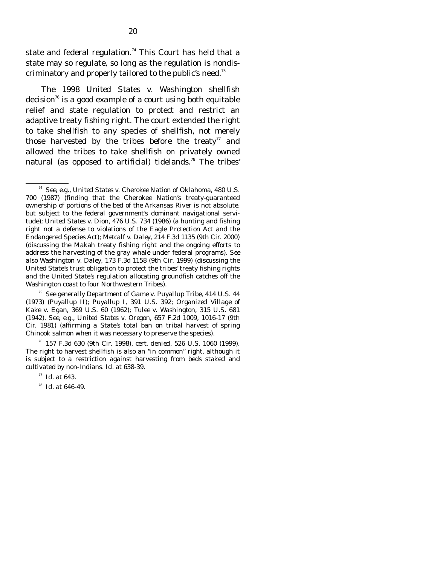state and federal regulation.<sup>74</sup> This Court has held that a state may so regulate, so long as the regulation is nondiscriminatory and properly tailored to the public's need.<sup>75</sup>

 The 1998 *United States v. Washington* shellfish decision<sup>76</sup> is a good example of a court using both equitable relief and state regulation to protect and restrict an adaptive treaty fishing right. The court extended the right to take shellfish to any species of shellfish, not merely those harvested by the tribes before the treaty<sup>77</sup> and allowed the tribes to take shellfish on privately owned natural (as opposed to artificial) tidelands.<sup>78</sup> The tribes'

<sup>74</sup> *See, e.g., United States v. Cherokee Nation of Oklahoma*, 480 U.S. 700 (1987) (finding that the Cherokee Nation's treaty-guaranteed ownership of portions of the bed of the Arkansas River is not absolute, but subject to the federal government's dominant navigational servitude); *United States v. Dion*, 476 U.S. 734 (1986) (a hunting and fishing right not a defense to violations of the Eagle Protection Act and the Endangered Species Act); *Metcalf v. Daley*, 214 F.3d 1135 (9th Cir. 2000) (discussing the Makah treaty fishing right and the ongoing efforts to address the harvesting of the gray whale under federal programs). *See also Washington v. Daley*, 173 F.3d 1158 (9th Cir. 1999) (discussing the United State's trust obligation to protect the tribes' treaty fishing rights and the United State's regulation allocating groundfish catches off the Washington coast to four Northwestern Tribes).

<sup>75</sup> *See generally Department of Game v. Puyallup Tribe*, 414 U.S. 44 (1973) (*Puyallup II*); *Puyallup I*, 391 U.S. 392; *Organized Village of Kake v. Egan,* 369 U.S. 60 (1962); *Tulee v. Washington*, 315 U.S. 681 (1942). *See, e.g*., *United States v. Oregon*, 657 F.2d 1009, 1016-17 (9th Cir. 1981) (affirming a State's total ban on tribal harvest of spring Chinook salmon when it was necessary to preserve the species).

76 157 F.3d 630 (9th Cir. 1998), *cert. denied*, 526 U.S. 1060 (1999). The right to harvest shellfish is also an "in common" right, although it is subject to a restriction against harvesting from beds staked and cultivated by non-Indians. *Id.* at 638-39.

<sup>77</sup> *Id.* at 643.

<sup>78</sup> *Id.* at 646-49.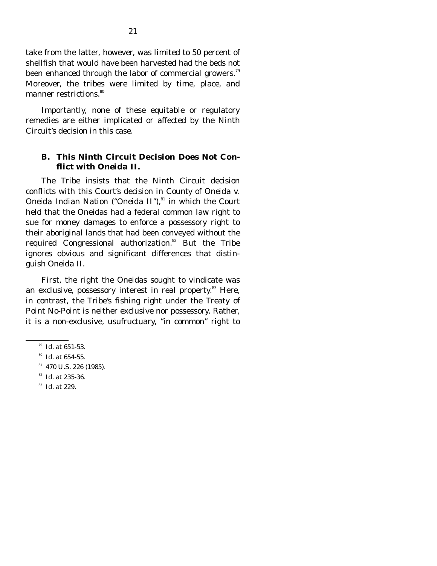take from the latter, however, was limited to 50 percent of shellfish that would have been harvested had the beds not been enhanced through the labor of commercial growers.<sup>79</sup> Moreover, the tribes were limited by time, place, and manner restrictions.<sup>80</sup>

 Importantly, none of these equitable or regulatory remedies are either implicated or affected by the Ninth Circuit's decision in this case.

#### **B. This Ninth Circuit Decision Does Not Conflict with** *Oneida II***.**

The Tribe insists that the Ninth Circuit decision conflicts with this Court's decision in *County of Oneida v. Oneida Indian Nation* ("*Oneida II*"),<sup>81</sup> in which the Court held that the Oneidas had a federal common law right to sue for money damages to enforce a possessory right to their aboriginal lands that had been conveyed without the required Congressional authorization. $82$  But the Tribe ignores obvious and significant differences that distinguish *Oneida II*.

 First, the right the Oneidas sought to vindicate was an exclusive, possessory interest in real property.<sup>83</sup> Here, in contrast, the Tribe's fishing right under the Treaty of Point No-Point is neither exclusive nor possessory. Rather, it is a non-exclusive, usufructuary, "in common" right to

- <sup>82</sup> *Id.* at 235-36.
- <sup>83</sup> *Id.* at 229.

<sup>79</sup> *Id.* at 651-53.

<sup>80</sup> *Id.* at 654-55.

81 470 U.S. 226 (1985)*.*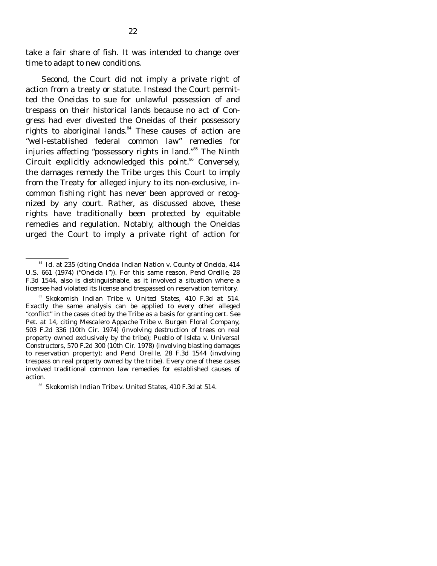take a fair share of fish. It was intended to change over time to adapt to new conditions.

 Second, the Court did not imply a private right of action from a treaty or statute. Instead the Court permitted the Oneidas to sue for unlawful possession of and trespass on their historical lands because no act of Congress had ever divested the Oneidas of their possessory rights to aboriginal lands.<sup>84</sup> These causes of action are "well-established federal common law" remedies for injuries affecting "possessory rights in land."85 The Ninth Circuit explicitly acknowledged this point.<sup>86</sup> Conversely, the damages remedy the Tribe urges this Court to imply from the Treaty for alleged injury to its non-exclusive, incommon fishing right has never been approved or recognized by any court. Rather, as discussed above, these rights have traditionally been protected by equitable remedies and regulation. Notably, although the Oneidas urged the Court to imply a private right of action for

<sup>84</sup> *Id.* at 235 (*citing Oneida Indian Nation v. County of Oneida*, 414 U.S. 661 (1974) ("*Oneida I*")). For this same reason, *Pend Oreille*, 28 F.3d 1544, also is distinguishable, as it involved a situation where a licensee had violated its license and trespassed on reservation territory.

<sup>85</sup> *Skokomish Indian Tribe v. United States,* 410 F.3d at 514. Exactly the same analysis can be applied to every other alleged "conflict" in the cases cited by the Tribe as a basis for granting cert. *See*  Pet. at 14, citing *Mescalero Appache Tribe v. Burgen Floral Company,*  503 F.2d 336 (10th Cir. 1974) (involving destruction of trees on real property owned exclusively by the tribe); *Pueblo of Isleta v. Universal Constructors,* 570 F.2d 300 (10th Cir. 1978) (involving blasting damages to reservation property); and *Pend Oreille,* 28 F.3d 1544 (involving trespass on real property owned by the tribe). Every one of these cases involved traditional common law remedies for established causes of action.

<sup>86</sup> *Skokomish Indian Tribe v. United States,* 410 F.3d at 514.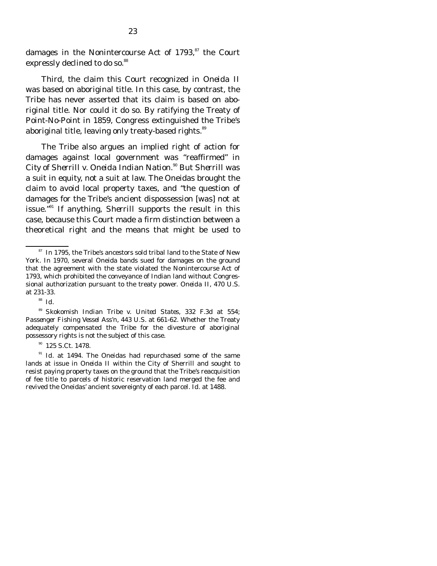damages in the Nonintercourse Act of  $1793$ ,  $87$  the Court expressly declined to do so.<sup>88</sup>

 Third, the claim this Court recognized in *Oneida II* was based on aboriginal title. In this case, by contrast, the Tribe has never asserted that its claim is based on aboriginal title. Nor could it do so. By ratifying the Treaty of Point-No-Point in 1859, Congress extinguished the Tribe's aboriginal title, leaving only treaty-based rights.<sup>89</sup>

 The Tribe also argues an implied right of action for damages against local government was "reaffirmed" in *City of Sherrill v. Oneida Indian Nation.*<sup>90</sup> But *Sherrill* was a suit in equity, not a suit at law. The Oneidas brought the claim to avoid local property taxes, and "the question of damages for the Tribe's ancient dispossession [was] not at issue."91 If anything, *Sherrill* supports the result in this case, because this Court made a firm distinction between a theoretical right and the means that might be used to

<sup>91</sup> *Id.* at 1494. The Oneidas had repurchased some of the same lands at issue in *Oneida II* within the City of Sherrill and sought to resist paying property taxes on the ground that the Tribe's reacquisition of fee title to parcels of historic reservation land merged the fee and revived the Oneidas' ancient sovereignty of each parcel. *Id.* at 1488.

<sup>&</sup>lt;sup>87</sup> In 1795, the Tribe's ancestors sold tribal land to the State of New York. In 1970, several Oneida bands sued for damages on the ground that the agreement with the state violated the Nonintercourse Act of 1793, which prohibited the conveyance of Indian land without Congressional authorization pursuant to the treaty power. *Oneida II*, 470 U.S*.* at 231-33.

<sup>88</sup> *Id.* 

<sup>89</sup> *Skokomish Indian Tribe v. United States*, 332 F.3d at 554; *Passenger Fishing Vessel Ass'n*, 443 U.S. at 661-62. Whether the Treaty adequately compensated the Tribe for the divesture of aboriginal possessory rights is not the subject of this case.

<sup>&</sup>lt;sup>90</sup> 125 S.Ct. 1478.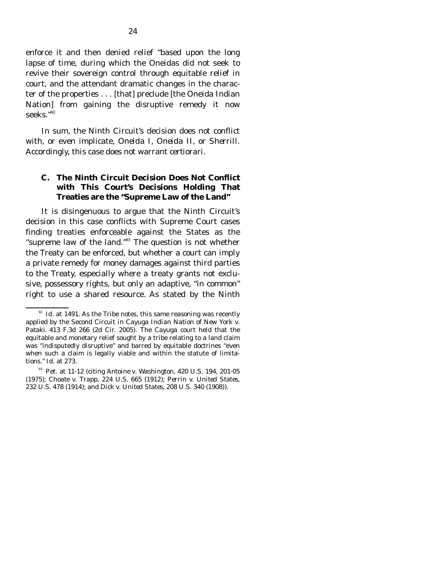enforce it and then denied relief "based upon the long lapse of time, during which the Oneidas did not seek to revive their sovereign control through equitable relief in court, and the attendant dramatic changes in the character of the properties . . . [that] preclude [the Oneida Indian Nation] from gaining the disruptive remedy it now seeks."92

 In sum, the Ninth Circuit's decision does not conflict with, or even implicate, *Oneida I, Oneida II,* or *Sherrill*. Accordingly, this case does not warrant *certiorari*.

### **C. The Ninth Circuit Decision Does Not Conflict with This Court's Decisions Holding That Treaties are the "Supreme Law of the Land"**

It is disingenuous to argue that the Ninth Circuit's decision in this case conflicts with Supreme Court cases finding treaties enforceable against the States as the "supreme law of the land."<sup>93</sup> The question is not whether the Treaty can be enforced, but whether a court can imply a private remedy for money damages against third parties to the Treaty, especially where a treaty grants not exclusive, possessory rights, but only an adaptive, "in common" right to use a shared resource. As stated by the Ninth

 $^{92}$  *Id.* at 1491. As the Tribe notes, this same reasoning was recently applied by the Second Circuit in *Cayuga Indian Nation of New York v. Pataki*. 413 F.3d 266 (2d Cir. 2005). The *Cayuga* court held that the equitable and monetary relief sought by a tribe relating to a land claim was "indisputedly disruptive" and barred by equitable doctrines "even when such a claim is legally viable and within the statute of limitations." *Id.* at 273.

93 Pet. at 11-12 (citing *Antoine v. Washington*, 420 U.S. 194, 201-05 (1975); *Choate v. Trapp*, 224 U.S. 665 (1912); *Perrin v. United States*, 232 U.S. 478 (1914); and *Dick v. United States*, 208 U.S. 340 (1908)).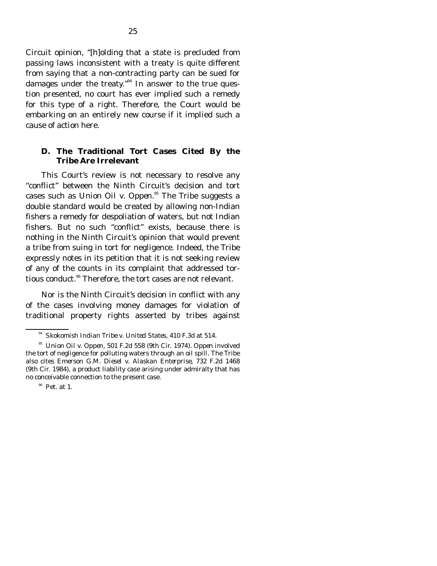Circuit opinion, "[h]olding that a state is precluded from passing laws inconsistent with a treaty is quite different from saying that a non-contracting party can be sued for damages under the treaty."<sup>94</sup> In answer to the true question presented, no court has ever implied such a remedy for this type of a right. Therefore, the Court would be embarking on an entirely new course if it implied such a cause of action here.

#### **D. The Traditional Tort Cases Cited By the Tribe Are Irrelevant**

This Court's review is not necessary to resolve any "conflict" between the Ninth Circuit's decision and tort cases such as *Union Oil v. Oppen.*95 The Tribe suggests a double standard would be created by allowing non-Indian fishers a remedy for despoliation of waters, but not Indian fishers. But no such "conflict" exists, because there is nothing in the Ninth Circuit's opinion that would prevent a tribe from suing in tort for negligence. Indeed, the Tribe expressly notes in its petition that it is not seeking review of any of the counts in its complaint that addressed tortious conduct.<sup>96</sup> Therefore, the tort cases are not relevant.

 Nor is the Ninth Circuit's decision in conflict with any of the cases involving money damages for violation of traditional property rights asserted by tribes against

<sup>94</sup> *Skokomish Indian Tribe v. United States*, 410 F.3d at 514.

<sup>95</sup> *Union Oil v. Oppen*, 501 F.2d 558 (9th Cir. 1974). *Oppen* involved the tort of negligence for polluting waters through an oil spill. The Tribe also cites *Emerson G.M. Diesel v. Alaskan Enterprise*, 732 F.2d 1468 (9th Cir. 1984), a product liability case arising under admiralty that has no conceivable connection to the present case.

 $96$  Pet. at 1.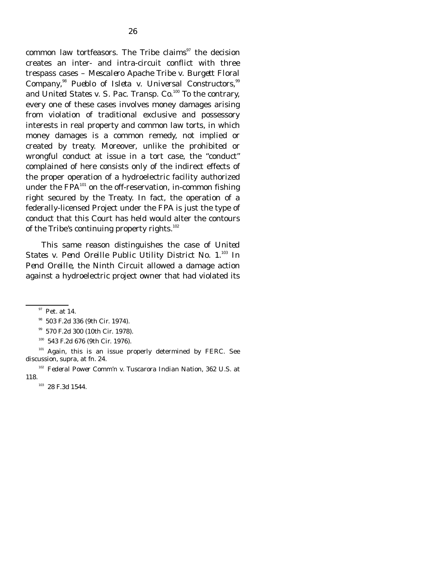common law tortfeasors. The Tribe claims $\frac{97}{10}$  the decision creates an inter- and intra-circuit conflict with three trespass cases – *Mescalero Apache Tribe v. Burgett Floral Company*, <sup>98</sup> *Pueblo of Isleta v. Universal Constructors,*<sup>99</sup> and *United States v. S. Pac. Transp. Co.*<sup>100</sup> To the contrary, every one of these cases involves money damages arising from violation of traditional exclusive and possessory interests in real property and common law torts, in which money damages is a common remedy, not implied or created by treaty. Moreover, unlike the prohibited or wrongful conduct at issue in a tort case, the "conduct" complained of here consists only of the indirect effects of the proper operation of a hydroelectric facility authorized under the FPA $^{101}$  on the off-reservation, in-common fishing right secured by the Treaty. In fact, the operation of a federally-licensed Project under the FPA is just the type of conduct that this Court has held would alter the contours of the Tribe's continuing property rights.<sup>102</sup>

 This same reason distinguishes the case of *United*  States v. Pend Oreille Public Utility District No. 1.<sup>103</sup> In *Pend Oreille*, the Ninth Circuit allowed a damage action against a hydroelectric project owner that had violated its

99 570 F.2d 300 (10th Cir. 1978).

 $101$  Again, this is an issue properly determined by FERC. See discussion, *supra,* at fn. 24.

<sup>&</sup>lt;sup>97</sup> Pet. at 14.

98 503 F.2d 336 (9th Cir. 1974).

100 543 F.2d 676 (9th Cir. 1976).

<sup>102</sup> *Federal Power Comm'n v. Tuscarora Indian Nation*, 362 U.S. at 118.

<sup>&</sup>lt;sup>103</sup> 28 F.3d 1544.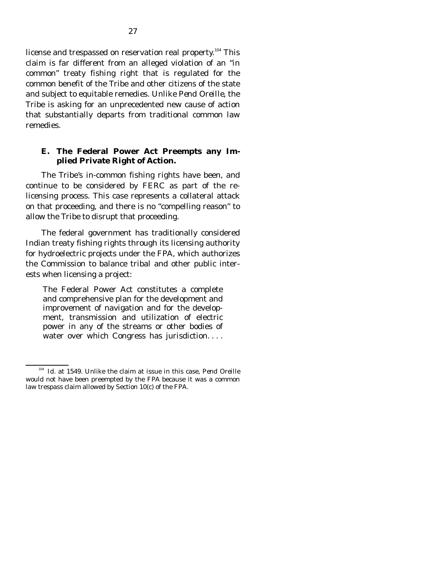license and trespassed on reservation real property.<sup>104</sup> This claim is far different from an alleged violation of an "in common" treaty fishing right that is regulated for the common benefit of the Tribe and other citizens of the state and subject to equitable remedies. Unlike *Pend Oreille*, the Tribe is asking for an unprecedented new cause of action that substantially departs from traditional common law remedies.

### **E. The Federal Power Act Preempts any Implied Private Right of Action.**

The Tribe's in-common fishing rights have been, and continue to be considered by FERC as part of the relicensing process. This case represents a collateral attack on that proceeding, and there is no "compelling reason" to allow the Tribe to disrupt that proceeding.

 The federal government has traditionally considered Indian treaty fishing rights through its licensing authority for hydroelectric projects under the FPA, which authorizes the Commission to balance tribal and other public interests when licensing a project:

The Federal Power Act constitutes a complete and comprehensive plan for the development and improvement of navigation and for the development, transmission and utilization of electric power in any of the streams or other bodies of water over which Congress has jurisdiction....

<sup>104</sup> *Id.* at 1549. Unlike the claim at issue in this case, *Pend Oreille* would not have been preempted by the FPA because it was a common law trespass claim allowed by Section 10(c) of the FPA.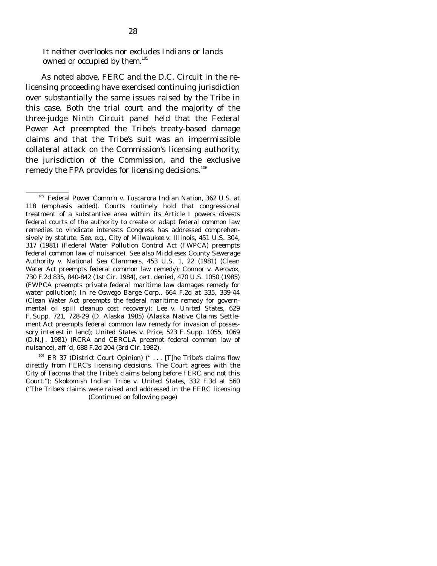*It neither overlooks nor excludes Indians or lands*  owned or occupied by them.<sup>105</sup>

 As noted above, FERC and the D.C. Circuit in the relicensing proceeding have exercised continuing jurisdiction over substantially the same issues raised by the Tribe in this case. Both the trial court and the majority of the three-judge Ninth Circuit panel held that the Federal Power Act preempted the Tribe's treaty-based damage claims and that the Tribe's suit was an impermissible collateral attack on the Commission's licensing authority, the jurisdiction of the Commission, and the exclusive remedy the FPA provides for licensing decisions. $^{106}$ 

<sup>105</sup> *Federal Power Comm'n v. Tuscarora Indian Nation*, 362 U.S. at 118 (emphasis added). Courts routinely hold that congressional treatment of a substantive area within its Article I powers divests federal courts of the authority to create or adapt federal common law remedies to vindicate interests Congress has addressed comprehensively by statute. *See*, *e.g., City of Milwaukee v. Illinois,* 451 U.S. 304, 317 (1981) (Federal Water Pollution Control Act (FWPCA) preempts federal common law of nuisance). *See also Middlesex County Sewerage Authority v. National Sea Clammers*, 453 U.S. 1, 22 (1981) (Clean Water Act preempts federal common law remedy); *Connor v. Aerovox*, 730 F.2d 835, 840-842 (1st Cir. 1984), *cert. denied*, 470 U.S. 1050 (1985) (FWPCA preempts private federal maritime law damages remedy for water pollution); *In re Oswego Barge Corp.*, 664 F.2d at 335, 339-44 (Clean Water Act preempts the federal maritime remedy for governmental oil spill cleanup cost recovery); *Lee v. United States*, 629 F. Supp. 721, 728-29 (D. Alaska 1985) (Alaska Native Claims Settlement Act preempts federal common law remedy for invasion of possessory interest in land); *United States v. Price*, 523 F. Supp. 1055, 1069 (D.N.J. 1981) (RCRA and CERCLA preempt federal common law of nuisance), *aff 'd*, 688 F.2d 204 (3rd Cir. 1982).

 $106$  ER 37 (District Court Opinion) (" ... [T]he Tribe's claims flow directly from FERC's licensing decisions. The Court agrees with the City of Tacoma that the Tribe's claims belong before FERC and not this Court."); *Skokomish Indian Tribe v. United States*, 332 F.3d at 560 ("The Tribe's claims were raised and addressed in the FERC licensing (Continued on following page)